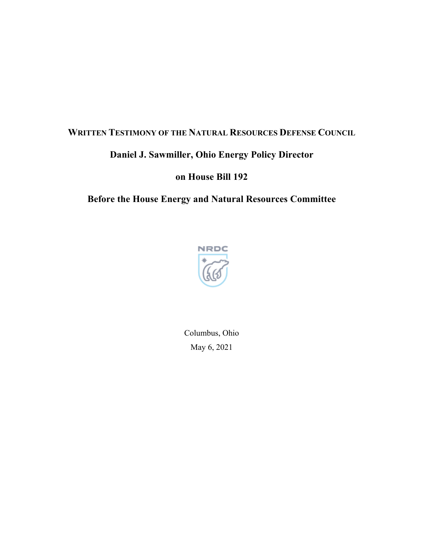## **WRITTEN TESTIMONY OF THE NATURAL RESOURCES DEFENSE COUNCIL**

## **Daniel J. Sawmiller, Ohio Energy Policy Director**

**on House Bill 192**

## **Before the House Energy and Natural Resources Committee**



Columbus, Ohio May 6, 2021